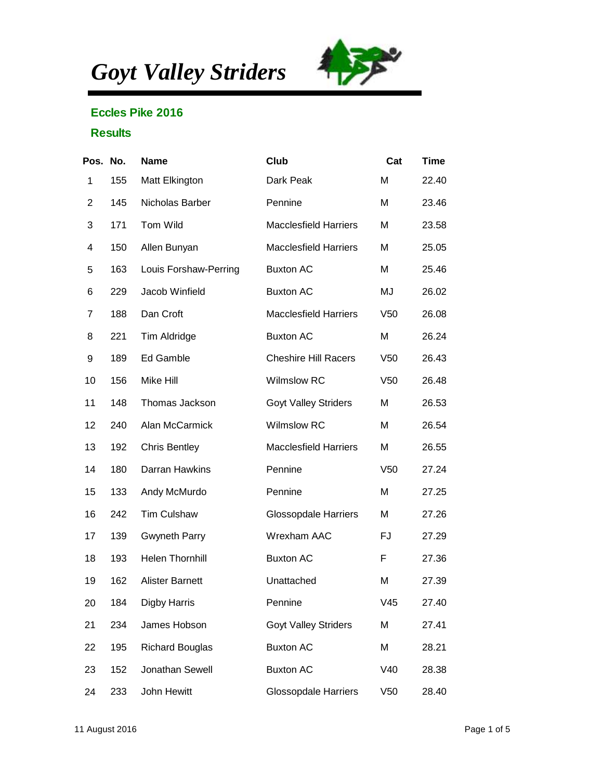*Goyt Valley Striders*



## Eccles Pike 2016

## **Results**

| Pos. No.       |     | Name                   | Club                         | Cat             | Time  |
|----------------|-----|------------------------|------------------------------|-----------------|-------|
| 1              | 155 | Matt Elkington         | Dark Peak                    | M               | 22.40 |
| $\overline{2}$ | 145 | Nicholas Barber        | Pennine                      | M               | 23.46 |
| 3              | 171 | Tom Wild               | <b>Macclesfield Harriers</b> | M               | 23.58 |
| 4              | 150 | Allen Bunyan           | <b>Macclesfield Harriers</b> | M               | 25.05 |
| 5              | 163 | Louis Forshaw-Perring  | <b>Buxton AC</b>             | M               | 25.46 |
| 6              | 229 | Jacob Winfield         | <b>Buxton AC</b>             | MJ              | 26.02 |
| $\overline{7}$ | 188 | Dan Croft              | <b>Macclesfield Harriers</b> | V <sub>50</sub> | 26.08 |
| 8              | 221 | Tim Aldridge           | <b>Buxton AC</b>             | M               | 26.24 |
| 9              | 189 | Ed Gamble              | <b>Cheshire Hill Racers</b>  | V <sub>50</sub> | 26.43 |
| 10             | 156 | Mike Hill              | <b>Wilmslow RC</b>           | V <sub>50</sub> | 26.48 |
| 11             | 148 | Thomas Jackson         | <b>Goyt Valley Striders</b>  | M               | 26.53 |
| 12             | 240 | Alan McCarmick         | <b>Wilmslow RC</b>           | M               | 26.54 |
| 13             | 192 | <b>Chris Bentley</b>   | <b>Macclesfield Harriers</b> | M               | 26.55 |
| 14             | 180 | Darran Hawkins         | Pennine                      | V <sub>50</sub> | 27.24 |
| 15             | 133 | Andy McMurdo           | Pennine                      | M               | 27.25 |
| 16             | 242 | <b>Tim Culshaw</b>     | <b>Glossopdale Harriers</b>  | M               | 27.26 |
| 17             | 139 | <b>Gwyneth Parry</b>   | Wrexham AAC                  | FJ              | 27.29 |
| 18             | 193 | <b>Helen Thornhill</b> | <b>Buxton AC</b>             | F               | 27.36 |
| 19             | 162 | <b>Alister Barnett</b> | Unattached                   | M               | 27.39 |
| 20             | 184 | <b>Digby Harris</b>    | Pennine                      | V45             | 27.40 |
| 21             | 234 | James Hobson           | <b>Goyt Valley Striders</b>  | M               | 27.41 |
| 22             | 195 | <b>Richard Bouglas</b> | <b>Buxton AC</b>             | M               | 28.21 |
| 23             | 152 | Jonathan Sewell        | <b>Buxton AC</b>             | V40             | 28.38 |
| 24             | 233 | John Hewitt            | <b>Glossopdale Harriers</b>  | V50             | 28.40 |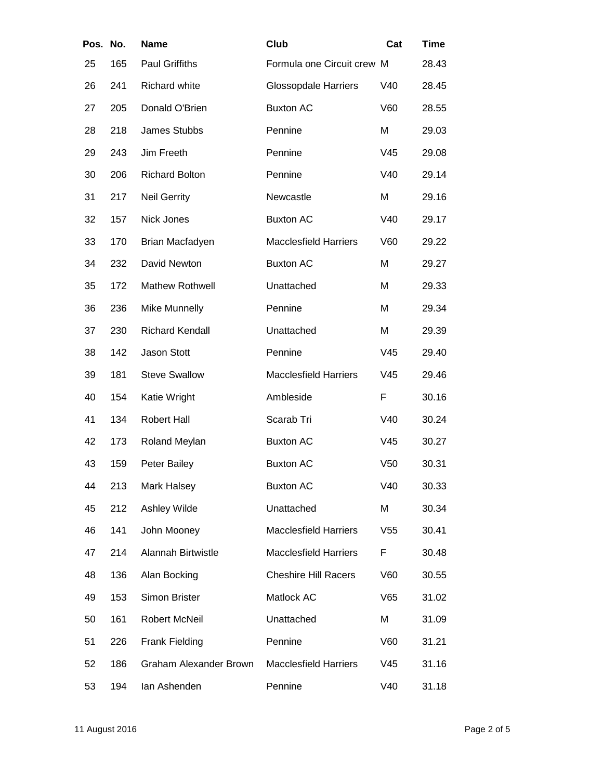| Pos. | No. | Name                          | Club                         | Cat             | Time  |
|------|-----|-------------------------------|------------------------------|-----------------|-------|
| 25   | 165 | <b>Paul Griffiths</b>         | Formula one Circuit crew M   |                 | 28.43 |
| 26   | 241 | Richard white                 | <b>Glossopdale Harriers</b>  | V40             | 28.45 |
| 27   | 205 | Donald O'Brien                | <b>Buxton AC</b>             | V60             | 28.55 |
| 28   | 218 | James Stubbs                  | Pennine                      | M               | 29.03 |
| 29   | 243 | Jim Freeth                    | Pennine                      | V45             | 29.08 |
| 30   | 206 | <b>Richard Bolton</b>         | Pennine                      | V40             | 29.14 |
| 31   | 217 | <b>Neil Gerrity</b>           | Newcastle                    | M               | 29.16 |
| 32   | 157 | Nick Jones                    | <b>Buxton AC</b>             | V40             | 29.17 |
| 33   | 170 | Brian Macfadyen               | <b>Macclesfield Harriers</b> | V60             | 29.22 |
| 34   | 232 | David Newton                  | <b>Buxton AC</b>             | M               | 29.27 |
| 35   | 172 | Mathew Rothwell               | Unattached                   | M               | 29.33 |
| 36   | 236 | Mike Munnelly                 | Pennine                      | M               | 29.34 |
| 37   | 230 | <b>Richard Kendall</b>        | Unattached                   | M               | 29.39 |
| 38   | 142 | Jason Stott                   | Pennine                      | V45             | 29.40 |
| 39   | 181 | <b>Steve Swallow</b>          | <b>Macclesfield Harriers</b> | V45             | 29.46 |
| 40   | 154 | Katie Wright                  | Ambleside                    | F               | 30.16 |
| 41   | 134 | <b>Robert Hall</b>            | Scarab Tri                   | V40             | 30.24 |
| 42   | 173 | Roland Meylan                 | <b>Buxton AC</b>             | V45             | 30.27 |
| 43   | 159 | Peter Bailey                  | <b>Buxton AC</b>             | V <sub>50</sub> | 30.31 |
| 44   | 213 | Mark Halsey                   | <b>Buxton AC</b>             | V40             | 30.33 |
| 45   | 212 | Ashley Wilde                  | Unattached                   | M               | 30.34 |
| 46   | 141 | John Mooney                   | <b>Macclesfield Harriers</b> | V <sub>55</sub> | 30.41 |
| 47   | 214 | Alannah Birtwistle            | <b>Macclesfield Harriers</b> | F               | 30.48 |
| 48   | 136 | Alan Bocking                  | <b>Cheshire Hill Racers</b>  | V60             | 30.55 |
| 49   | 153 | Simon Brister                 | Matlock AC                   | V65             | 31.02 |
| 50   | 161 | Robert McNeil                 | Unattached                   | Μ               | 31.09 |
| 51   | 226 | <b>Frank Fielding</b>         | Pennine                      | V60             | 31.21 |
| 52   | 186 | <b>Graham Alexander Brown</b> | <b>Macclesfield Harriers</b> | V45             | 31.16 |
| 53   | 194 | lan Ashenden                  | Pennine                      | V40             | 31.18 |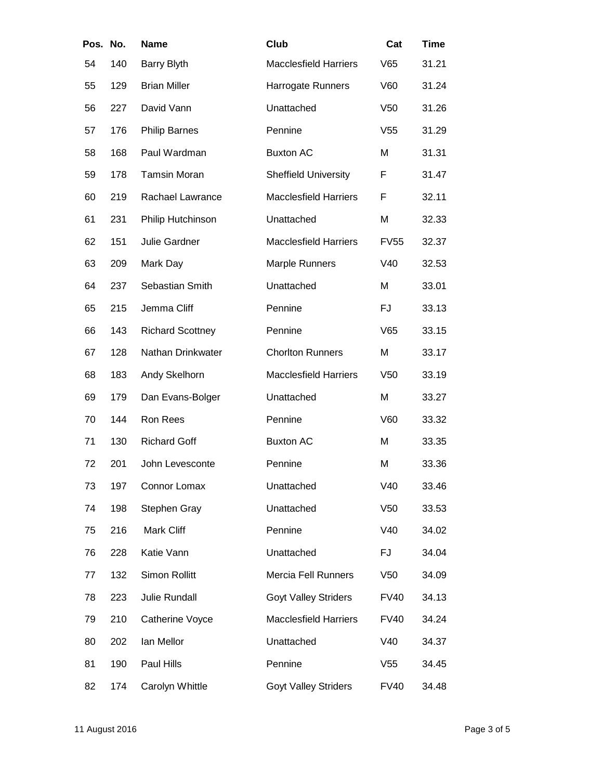| Pos. | No. | Name                    | Club                         | Cat             | Time  |
|------|-----|-------------------------|------------------------------|-----------------|-------|
| 54   | 140 | <b>Barry Blyth</b>      | <b>Macclesfield Harriers</b> | V65             | 31.21 |
| 55   | 129 | <b>Brian Miller</b>     | Harrogate Runners            | V60             | 31.24 |
| 56   | 227 | David Vann              | Unattached                   | V <sub>50</sub> | 31.26 |
| 57   | 176 | <b>Philip Barnes</b>    | Pennine                      | V <sub>55</sub> | 31.29 |
| 58   | 168 | Paul Wardman            | <b>Buxton AC</b>             | M               | 31.31 |
| 59   | 178 | <b>Tamsin Moran</b>     | <b>Sheffield University</b>  | F               | 31.47 |
| 60   | 219 | Rachael Lawrance        | <b>Macclesfield Harriers</b> | F               | 32.11 |
| 61   | 231 | Philip Hutchinson       | Unattached                   | Μ               | 32.33 |
| 62   | 151 | Julie Gardner           | <b>Macclesfield Harriers</b> | <b>FV55</b>     | 32.37 |
| 63   | 209 | Mark Day                | Marple Runners               | V40             | 32.53 |
| 64   | 237 | Sebastian Smith         | Unattached                   | M               | 33.01 |
| 65   | 215 | Jemma Cliff             | Pennine                      | <b>FJ</b>       | 33.13 |
| 66   | 143 | <b>Richard Scottney</b> | Pennine                      | V65             | 33.15 |
| 67   | 128 | Nathan Drinkwater       | <b>Chorlton Runners</b>      | M               | 33.17 |
| 68   | 183 | Andy Skelhorn           | <b>Macclesfield Harriers</b> | V <sub>50</sub> | 33.19 |
| 69   | 179 | Dan Evans-Bolger        | Unattached                   | M               | 33.27 |
| 70   | 144 | Ron Rees                | Pennine                      | V60             | 33.32 |
| 71   | 130 | <b>Richard Goff</b>     | <b>Buxton AC</b>             | M               | 33.35 |
| 72   | 201 | John Levesconte         | Pennine                      | Μ               | 33.36 |
| 73   | 197 | Connor Lomax            | Unattached                   | V40             | 33.46 |
| 74   | 198 | Stephen Gray            | Unattached                   | V50             | 33.53 |
| 75   | 216 | Mark Cliff              | Pennine                      | V40             | 34.02 |
| 76   | 228 | Katie Vann              | Unattached                   | FJ              | 34.04 |
| 77   | 132 | Simon Rollitt           | <b>Mercia Fell Runners</b>   | V <sub>50</sub> | 34.09 |
| 78   | 223 | Julie Rundall           | <b>Goyt Valley Striders</b>  | <b>FV40</b>     | 34.13 |
| 79   | 210 | Catherine Voyce         | <b>Macclesfield Harriers</b> | <b>FV40</b>     | 34.24 |
| 80   | 202 | lan Mellor              | Unattached                   | V40             | 34.37 |
| 81   | 190 | Paul Hills              | Pennine                      | V <sub>55</sub> | 34.45 |
| 82   | 174 | Carolyn Whittle         | <b>Goyt Valley Striders</b>  | <b>FV40</b>     | 34.48 |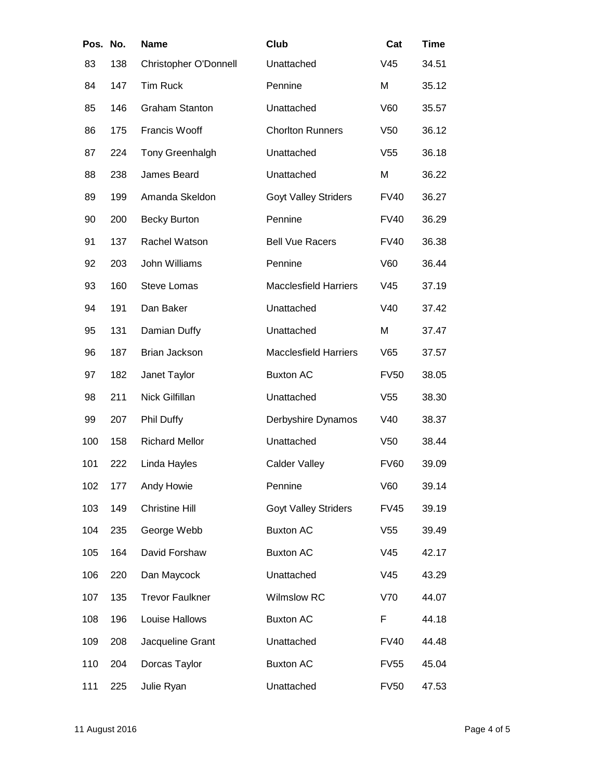| Pos. No. |     | Name                   | Club                         | Cat             | Time  |
|----------|-----|------------------------|------------------------------|-----------------|-------|
| 83       | 138 | Christopher O'Donnell  | Unattached                   | V45             | 34.51 |
| 84       | 147 | <b>Tim Ruck</b>        | Pennine                      | M               | 35.12 |
| 85       | 146 | <b>Graham Stanton</b>  | Unattached                   | V60             | 35.57 |
| 86       | 175 | Francis Wooff          | <b>Chorlton Runners</b>      | V <sub>50</sub> | 36.12 |
| 87       | 224 | Tony Greenhalgh        | Unattached                   | V <sub>55</sub> | 36.18 |
| 88       | 238 | James Beard            | Unattached                   | M               | 36.22 |
| 89       | 199 | Amanda Skeldon         | <b>Goyt Valley Striders</b>  | <b>FV40</b>     | 36.27 |
| 90       | 200 | <b>Becky Burton</b>    | Pennine                      | <b>FV40</b>     | 36.29 |
| 91       | 137 | Rachel Watson          | <b>Bell Vue Racers</b>       | <b>FV40</b>     | 36.38 |
| 92       | 203 | John Williams          | Pennine                      | V60             | 36.44 |
| 93       | 160 | <b>Steve Lomas</b>     | <b>Macclesfield Harriers</b> | V45             | 37.19 |
| 94       | 191 | Dan Baker              | Unattached                   | V40             | 37.42 |
| 95       | 131 | Damian Duffy           | Unattached                   | M               | 37.47 |
| 96       | 187 | Brian Jackson          | <b>Macclesfield Harriers</b> | V65             | 37.57 |
| 97       | 182 | Janet Taylor           | <b>Buxton AC</b>             | <b>FV50</b>     | 38.05 |
| 98       | 211 | Nick Gilfillan         | Unattached                   | V <sub>55</sub> | 38.30 |
| 99       | 207 | Phil Duffy             | Derbyshire Dynamos           | V40             | 38.37 |
| 100      | 158 | <b>Richard Mellor</b>  | Unattached                   | V <sub>50</sub> | 38.44 |
| 101      | 222 | Linda Hayles           | <b>Calder Valley</b>         | <b>FV60</b>     | 39.09 |
| 102      | 177 | Andy Howie             | Pennine                      | V60             | 39.14 |
| 103      | 149 | <b>Christine Hill</b>  | <b>Goyt Valley Striders</b>  | <b>FV45</b>     | 39.19 |
| 104      | 235 | George Webb            | <b>Buxton AC</b>             | V <sub>55</sub> | 39.49 |
| 105      | 164 | David Forshaw          | <b>Buxton AC</b>             | V45             | 42.17 |
| 106      | 220 | Dan Maycock            | Unattached                   | V45             | 43.29 |
| 107      | 135 | <b>Trevor Faulkner</b> | Wilmslow RC                  | V70             | 44.07 |
| 108      | 196 | Louise Hallows         | <b>Buxton AC</b>             | F               | 44.18 |
| 109      | 208 | Jacqueline Grant       | Unattached                   | <b>FV40</b>     | 44.48 |
| 110      | 204 | Dorcas Taylor          | <b>Buxton AC</b>             | <b>FV55</b>     | 45.04 |
| 111      | 225 | Julie Ryan             | Unattached                   | <b>FV50</b>     | 47.53 |